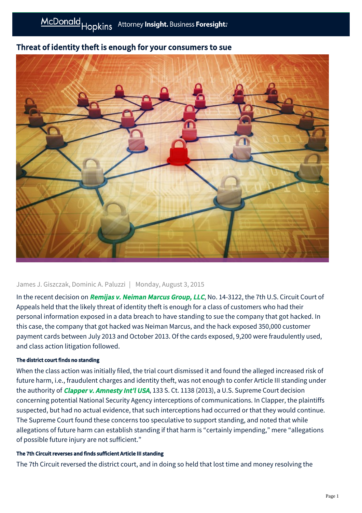

# Threat of identity theft is enough for your consumers to sue

### James J. Giszczak, Dominic A. Paluzzi | Monday, August 3, 2015

In the recent decision on *Remijas v. Neiman Marcus Group. LLC*, No. 14-3122, the 7th U.S. Circuit Court of Appeals held that the likely threat of identity theft is enough for a class of customers who had their personal information exposed in a data breach to have standing to sue the company that got hacked. In this case, the company that got hacked was Neiman Marcus, and the hack exposed 350,000 customer payment cards between July 2013 and October 2013. Of the cards exposed, 9,200 were fraudulently used, and class action litigation followed.

### The district court finds no standing

When the class action was initially filed, the trial court dismissed it and found the alleged increased risk of future harm, i.e., fraudulent charges and identity theft, was not enough to confer Article III standing under the authority of *[Clapper v. Amnesty Int'l USA](http://www.supremecourt.gov/opinions/12pdf/11-1025_ihdj.pdf)*, 133 S. Ct. 1138 (2013), a U.S. Supreme Court decision concerning potential National Security Agency interceptions of communications. In Clapper, the plaintiffs suspected, but had no actual evidence, that such interceptions had occurred or that they would continue. The Supreme Court found these concerns too speculative to support standing, and noted that while allegations of future harm can establish standing if that harm is "certainly impending," mere "allegations of possible future injury are not sufficient."

### The 7th Circuit reverses and finds sufficient Article III standing

The 7th Circuit reversed the district court, and in doing so held that lost time and money resolving the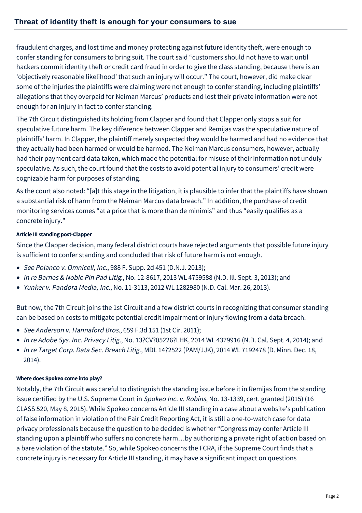fraudulent charges, and lost time and money protecting against future identity theft, were enough to confer standing for consumers to bring suit. The court said "customers should not have to wait until hackers commit identity theft or credit card fraud in order to give the class standing, because there is an 'objectively reasonable likelihood' that such an injury will occur." The court, however, did make clear some of the injuries the plaintiffs were claiming were not enough to confer standing, including plaintiffs' allegations that they overpaid for Neiman Marcus' products and lost their private information were not enough for an injury in fact to confer standing.

The 7th Circuit distinguished its holding from Clapper and found that Clapper only stops a suit for speculative future harm. The key difference between Clapper and Remijas was the speculative nature of plaintiffs' harm. In Clapper, the plaintiff merely suspected they would be harmed and had no evidence that they actually had been harmed or would be harmed. The Neiman Marcus consumers, however, actually had their payment card data taken, which made the potential for misuse of their information not unduly speculative. As such, the court found that the costs to avoid potential injury to consumers' credit were cognizable harm for purposes of standing.

As the court also noted: "[a]t this stage in the litigation, it is plausible to infer that the plaintiffs have shown a substantial risk of harm from the Neiman Marcus data breach." In addition, the purchase of credit monitoring services comes "at a price that is more than de minimis" and thus "easily qualifies as a concrete injury."

## Article III standing post-Clapper

Since the Clapper decision, many federal district courts have rejected arguments that possible future injury is sufficient to confer standing and concluded that risk of future harm is not enough.

- See Polanco v. Omnicell, Inc., 988 F. Supp. 2d 451 (D.N.J. 2013);
- In re Barnes & Noble Pin Pad Litig., No. 12-8617, 2013 WL 4759588 (N.D. Ill. Sept. 3, 2013); and
- Yunker v. Pandora Media, Inc., No. 11-3113, 2012 WL 1282980 (N.D. Cal. Mar. 26, 2013).

But now, the 7th Circuit joins the 1st Circuit and a few district courts in recognizing that consumer standing can be based on costs to mitigate potential credit impairment or injury flowing from a data breach.

- See Anderson v. Hannaford Bros., 659 F.3d 151 (1st Cir. 2011);
- In re Adobe Sys. Inc. Privacy Litig., No. 13?CV?05226?LHK, 2014 WL 4379916 (N.D. Cal. Sept. 4, 2014); and
- In re Target Corp. Data Sec. Breach Litig., MDL 14?2522 (PAM/JJK), 2014 WL 7192478 (D. Minn. Dec. 18, 2014).

### Where does Spokeo come into play?

Notably, the 7th Circuit was careful to distinguish the standing issue before it in Remijas from the standing issue certified by the U.S. Supreme Court in Spokeo Inc. v. Robins, No. 13-1339, cert. granted (2015) (16 CLASS 520, May 8, 2015). While Spokeo concerns Article III standing in a case about a website's publication of false information in violation of the Fair Credit Reporting Act, it is still a one-to-watch case for data privacy professionals because the question to be decided is whether "Congress may confer Article III standing upon a plaintiff who suffers no concrete harm…by authorizing a private right of action based on a bare violation of the statute." So, while Spokeo concerns the FCRA, if the Supreme Court finds that a concrete injury is necessary for Article III standing, it may have a significant impact on questions